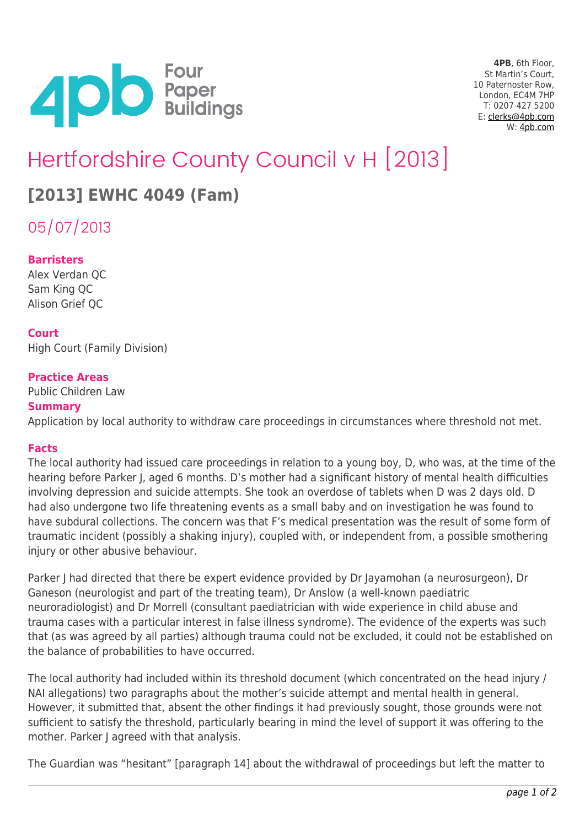

**4PB**, 6th Floor, St Martin's Court, 10 Paternoster Row, London, EC4M 7HP T: 0207 427 5200 E: [clerks@4pb.com](mailto:clerks@4pb.com) W: [4pb.com](http://4pb.com)

# Hertfordshire County Council v H [2013]

## **[2013] EWHC 4049 (Fam)**

05/07/2013

#### **Barristers**

Alex Verdan QC Sam King QC Alison Grief QC

#### **Court**

High Court (Family Division)

#### **Practice Areas**

Public Children Law **Summary**

Application by local authority to withdraw care proceedings in circumstances where threshold not met.

#### **Facts**

The local authority had issued care proceedings in relation to a young boy, D, who was, at the time of the hearing before Parker J, aged 6 months. D's mother had a significant history of mental health difficulties involving depression and suicide attempts. She took an overdose of tablets when D was 2 days old. D had also undergone two life threatening events as a small baby and on investigation he was found to have subdural collections. The concern was that F's medical presentation was the result of some form of traumatic incident (possibly a shaking injury), coupled with, or independent from, a possible smothering injury or other abusive behaviour.

Parker J had directed that there be expert evidence provided by Dr Jayamohan (a neurosurgeon), Dr Ganeson (neurologist and part of the treating team), Dr Anslow (a well-known paediatric neuroradiologist) and Dr Morrell (consultant paediatrician with wide experience in child abuse and trauma cases with a particular interest in false illness syndrome). The evidence of the experts was such that (as was agreed by all parties) although trauma could not be excluded, it could not be established on the balance of probabilities to have occurred.

The local authority had included within its threshold document (which concentrated on the head injury / NAI allegations) two paragraphs about the mother's suicide attempt and mental health in general. However, it submitted that, absent the other findings it had previously sought, those grounds were not sufficient to satisfy the threshold, particularly bearing in mind the level of support it was offering to the mother. Parker J agreed with that analysis.

The Guardian was "hesitant" [paragraph 14] about the withdrawal of proceedings but left the matter to